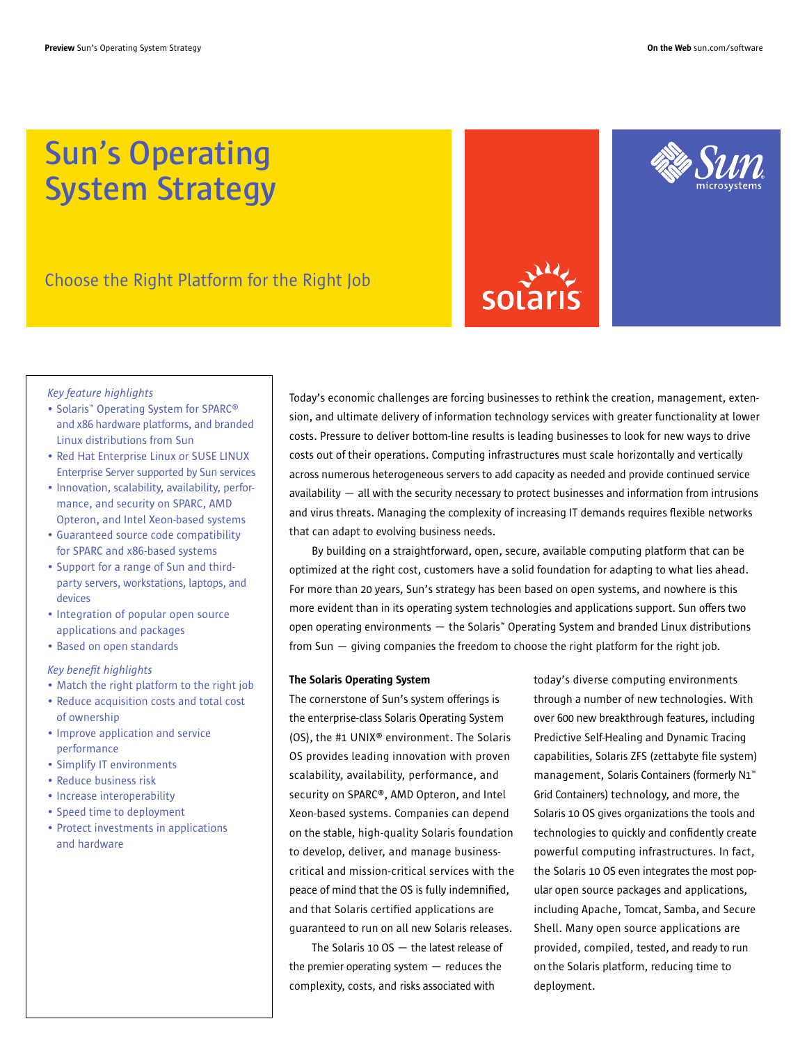## **Sun's Operating System Strategy**

Choose the Right Platform for the Right Job

# sola



#### *Key feature highlights*

- Solaris™ Operating System for SPARC® and x86 hardware platforms, and branded Linux distributions from Sun
- Red Hat Enterprise Linux or SUSE LINUX Enterprise Server supported by Sun services
- Innovation, scalability, availability, performance, and security on SPARC, AMD Opteron, and Intel Xeon-based systems
- Guaranteed source code compatibility for SPARC and x86-based systems
- Support for a range of Sun and thirdparty servers, workstations, laptops, and devices
- Integration of popular open source applications and packages
- Based on open standards

#### *Key benefit highlights*

- Match the right platform to the right job
- Reduce acquisition costs and total cost of ownership
- Improve application and service performance
- Simplify IT environments
- Reduce business risk
- Increase interoperability
- Speed time to deployment
- Protect investments in applications and hardware

Today's economic challenges are forcing businesses to rethink the creation, management, extension, and ultimate delivery of information technology services with greater functionality at lower costs. Pressure to deliver bottom-line results is leading businesses to look for new ways to drive costs out of their operations. Computing infrastructures must scale horizontally and vertically across numerous heterogeneous servers to add capacity as needed and provide continued service availability — all with the security necessary to protect businesses and information from intrusions and virus threats. Managing the complexity of increasing IT demands requires flexible networks that can adapt to evolving business needs.

By building on a straightforward, open, secure, available computing platform that can be optimized at the right cost, customers have a solid foundation for adapting to what lies ahead. For more than 20 years, Sun's strategy has been based on open systems, and nowhere is this more evident than in its operating system technologies and applications support. Sun offers two open operating environments — the Solaris™ Operating System and branded Linux distributions from Sun — giving companies the freedom to choose the right platform for the right job.

#### The Solaris Operating System

The cornerstone of Sun's system offerings is the enterprise-class Solaris Operating System (OS), the #1 UNIX® environment. The Solaris OS provides leading innovation with proven scalability, availability, performance, and security on SPARC®, AMD Opteron, and Intel Xeon-based systems. Companies can depend on the stable, high-quality Solaris foundation to develop, deliver, and manage businesscritical and mission-critical services with the peace of mind that the OS is fully indemnified, and that Solaris certified applications are guaranteed to run on all new Solaris releases.

The Solaris 10 OS — the latest release of the premier operating system — reduces the complexity, costs, and risks associated with

today's diverse computing environments through a number of new technologies. With over 600 new breakthrough features, including Predictive Self-Healing and Dynamic Tracing capabilities, Solaris ZFS (zettabyte file system) management, Solaris Containers (formerly N1™ Grid Containers) technology, and more, the Solaris 10 OS gives organizations the tools and technologies to quickly and confidently create powerful computing infrastructures. In fact, the Solaris 10 OS even integrates the most popular open source packages and applications, including Apache, Tomcat, Samba, and Secure Shell. Many open source applications are provided, compiled, tested, and ready to run on the Solaris platform, reducing time to deployment.